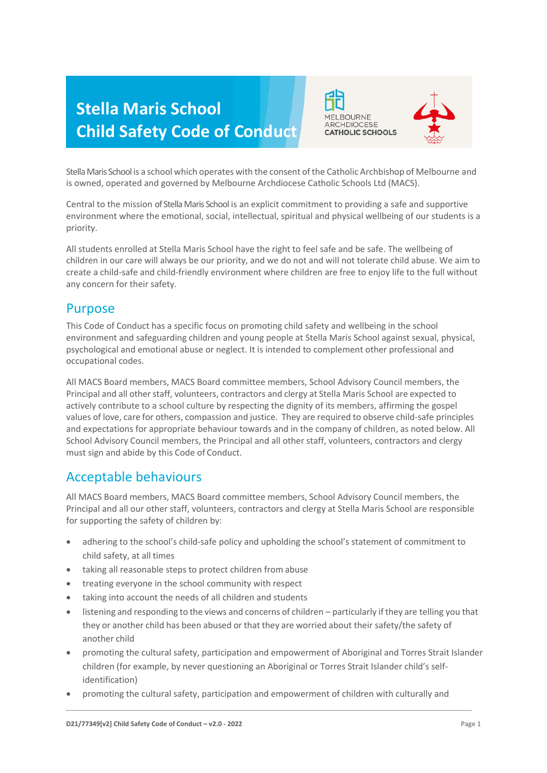# **Stella Maris School Child Safety Code of Conduct**





Stella Maris School is a school which operates with the consent of the Catholic Archbishop of Melbourne and is owned, operated and governed by Melbourne Archdiocese Catholic Schools Ltd (MACS).

Central to the mission of Stella Maris School is an explicit commitment to providing a safe and supportive environment where the emotional, social, intellectual, spiritual and physical wellbeing of our students is a priority.

All students enrolled at Stella Maris School have the right to feel safe and be safe. The wellbeing of children in our care will always be our priority, and we do not and will not tolerate child abuse. We aim to create a child-safe and child-friendly environment where children are free to enjoy life to the full without any concern for their safety.

## Purpose

This Code of Conduct has a specific focus on promoting child safety and wellbeing in the school environment and safeguarding children and young people at Stella Maris School against sexual, physical, psychological and emotional abuse or neglect. It is intended to complement other professional and occupational codes.

All MACS Board members, MACS Board committee members, School Advisory Council members, the Principal and all other staff, volunteers, contractors and clergy at Stella Maris School are expected to actively contribute to a school culture by respecting the dignity of its members, affirming the gospel values of love, care for others, compassion and justice. They are required to observe child-safe principles and expectations for appropriate behaviour towards and in the company of children, as noted below. All School Advisory Council members, the Principal and all other staff, volunteers, contractors and clergy must sign and abide by this Code of Conduct.

## Acceptable behaviours

All MACS Board members, MACS Board committee members, School Advisory Council members, the Principal and all our other staff, volunteers, contractors and clergy at Stella Maris School are responsible for supporting the safety of children by:

- adhering to the school's child-safe policy and upholding the school's statement of commitment to child safety, at all times
- taking all reasonable steps to protect children from abuse
- treating everyone in the school community with respect
- taking into account the needs of all children and students
- listening and responding to the views and concerns of children particularly if they are telling you that they or another child has been abused or that they are worried about their safety/the safety of another child
- promoting the cultural safety, participation and empowerment of Aboriginal and Torres Strait Islander children (for example, by never questioning an Aboriginal or Torres Strait Islander child's selfidentification)
- promoting the cultural safety, participation and empowerment of children with culturally and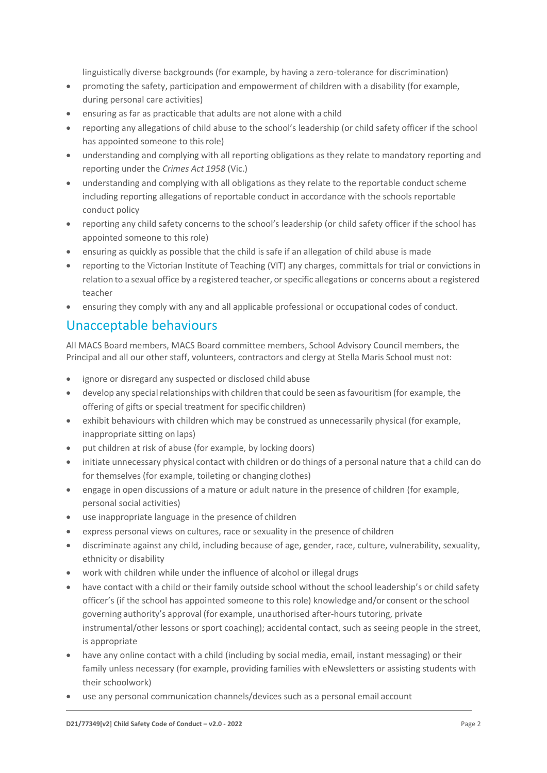linguistically diverse backgrounds (for example, by having a zero-tolerance for discrimination)

- promoting the safety, participation and empowerment of children with a disability (for example, during personal care activities)
- ensuring as far as practicable that adults are not alone with a child
- reporting any allegations of child abuse to the school's leadership (or child safety officer if the school has appointed someone to this role)
- understanding and complying with all reporting obligations as they relate to mandatory reporting and reporting under the *Crimes Act 1958* (Vic.)
- understanding and complying with all obligations as they relate to the reportable conduct scheme including reporting allegations of reportable conduct in accordance with the schools reportable conduct policy
- reporting any child safety concerns to the school's leadership (or child safety officer if the school has appointed someone to this role)
- ensuring as quickly as possible that the child is safe if an allegation of child abuse is made
- reporting to the Victorian Institute of Teaching (VIT) any charges, committals for trial or convictionsin relation to a sexual office by a registered teacher, or specific allegations or concerns about a registered teacher
- ensuring they comply with any and all applicable professional or occupational codes of conduct.

## Unacceptable behaviours

All MACS Board members, MACS Board committee members, School Advisory Council members, the Principal and all our other staff, volunteers, contractors and clergy at Stella Maris School must not:

- ignore or disregard any suspected or disclosed child abuse
- develop any special relationships with children that could be seen as favouritism (for example, the offering of gifts or special treatment for specific children)
- exhibit behaviours with children which may be construed as unnecessarily physical (for example, inappropriate sitting on laps)
- put children at risk of abuse (for example, by locking doors)
- initiate unnecessary physical contact with children or do things of a personal nature that a child can do for themselves (for example, toileting or changing clothes)
- engage in open discussions of a mature or adult nature in the presence of children (for example, personal social activities)
- use inappropriate language in the presence of children
- express personal views on cultures, race or sexuality in the presence of children
- discriminate against any child, including because of age, gender, race, culture, vulnerability, sexuality, ethnicity or disability
- work with children while under the influence of alcohol or illegal drugs
- have contact with a child or their family outside school without the school leadership's or child safety officer's (if the school has appointed someone to this role) knowledge and/or consent orthe school governing authority's approval (for example, unauthorised after-hours tutoring, private instrumental/other lessons or sport coaching); accidental contact, such as seeing people in the street, is appropriate
- have any online contact with a child (including by social media, email, instant messaging) or their family unless necessary (for example, providing families with eNewsletters or assisting students with their schoolwork)
- use any personal communication channels/devices such as a personal email account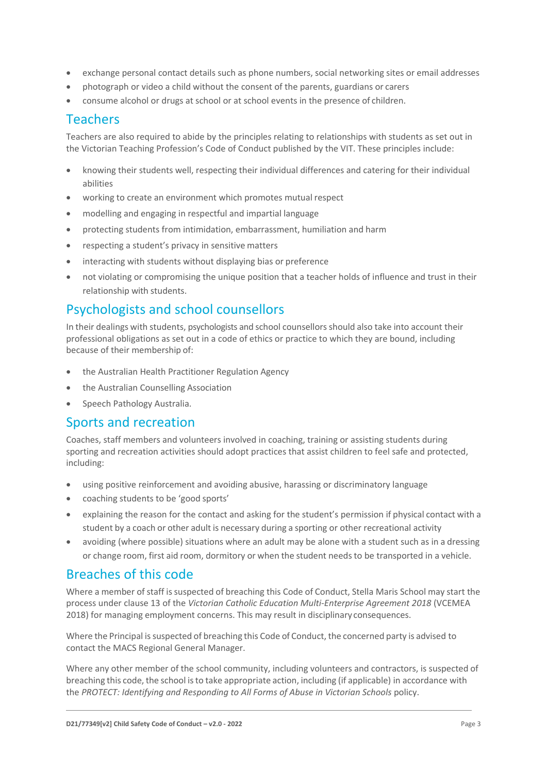- exchange personal contact details such as phone numbers, social networking sites or email addresses
- photograph or video a child without the consent of the parents, guardians or carers
- consume alcohol or drugs at school or at school events in the presence of children.

#### Teachers

Teachers are also required to abide by the principles relating to relationships with students as set out in the Victorian Teaching Profession's Code of Conduct published by the VIT. These principles include:

- knowing their students well, respecting their individual differences and catering for their individual abilities
- working to create an environment which promotes mutual respect
- modelling and engaging in respectful and impartial language
- protecting students from intimidation, embarrassment, humiliation and harm
- respecting a student's privacy in sensitive matters
- interacting with students without displaying bias or preference
- not violating or compromising the unique position that a teacher holds of influence and trust in their relationship with students.

## Psychologists and school counsellors

In their dealings with students, psychologists and school counsellors should also take into account their professional obligations as set out in a code of ethics or practice to which they are bound, including because of their membership of:

- the Australian Health Practitioner Regulation Agency
- the Australian Counselling Association
- Speech Pathology Australia.

#### Sports and recreation

Coaches, staff members and volunteers involved in coaching, training or assisting students during sporting and recreation activities should adopt practices that assist children to feel safe and protected, including:

- using positive reinforcement and avoiding abusive, harassing or discriminatory language
- coaching students to be 'good sports'
- explaining the reason for the contact and asking for the student's permission if physical contact with a student by a coach or other adult is necessary during a sporting or other recreational activity
- avoiding (where possible) situations where an adult may be alone with a student such as in a dressing or change room, first aid room, dormitory or when the student needsto be transported in a vehicle.

### Breaches of this code

Where a member of staff is suspected of breaching this Code of Conduct, Stella Maris School may start the process under clause 13 of the *Victorian Catholic Education Multi-Enterprise Agreement 2018* (VCEMEA 2018) for managing employment concerns. This may result in disciplinary consequences.

Where the Principal is suspected of breaching this Code of Conduct, the concerned party is advised to contact the MACS Regional General Manager.

Where any other member of the school community, including volunteers and contractors, is suspected of breaching this code, the school isto take appropriate action, including (if applicable) in accordance with the *PROTECT: Identifying and Responding to All Forms of Abuse in Victorian Schools* policy.